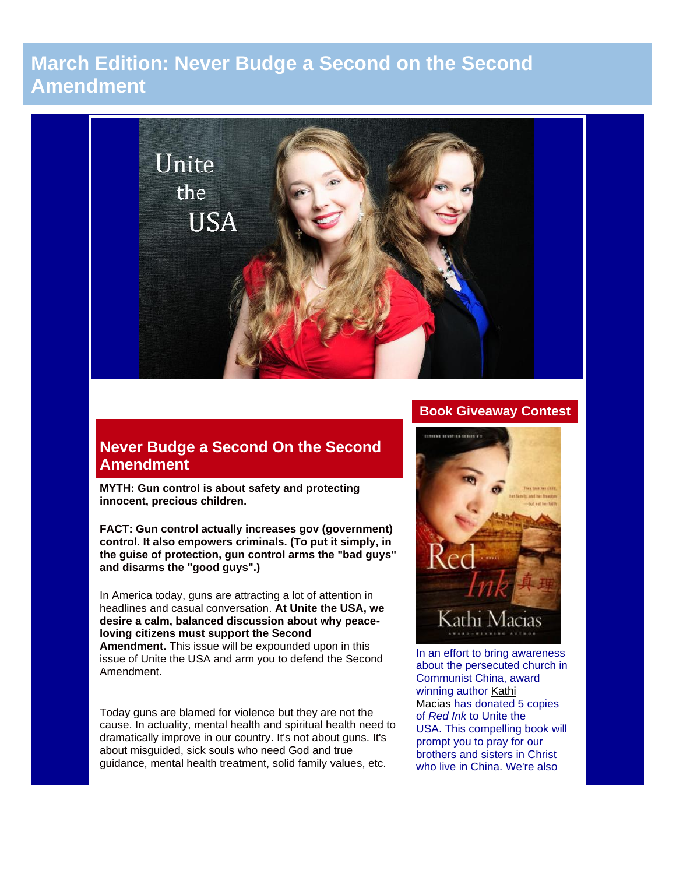# **March Edition: Never Budge a Second on the Second Amendment**



## **Never Budge a Second On the Second Amendment**

**MYTH: Gun control is about safety and protecting innocent, precious children.**

**FACT: Gun control actually increases gov (government) control. It also empowers criminals. (To put it simply, in the guise of protection, gun control arms the "bad guys" and disarms the "good guys".)**

In America today, guns are attracting a lot of attention in headlines and casual conversation. **At Unite the USA, we desire a calm, balanced discussion about why peaceloving citizens must support the Second** 

**Amendment.** This issue will be expounded upon in this issue of Unite the USA and arm you to defend the Second Amendment.

Today guns are blamed for violence but they are not the cause. In actuality, mental health and spiritual health need to dramatically improve in our country. It's not about guns. It's about misguided, sick souls who need God and true guidance, mental health treatment, solid family values, etc.

## **Book Giveaway Contest**



In an effort to bring awareness about the persecuted church in Communist China, award winning author [Kathi](http://kathimacias.com/)  [Macias](http://kathimacias.com/) has donated 5 copies of *Red Ink* to Unite the USA. This compelling book will prompt you to pray for our brothers and sisters in Christ who live in China. We're also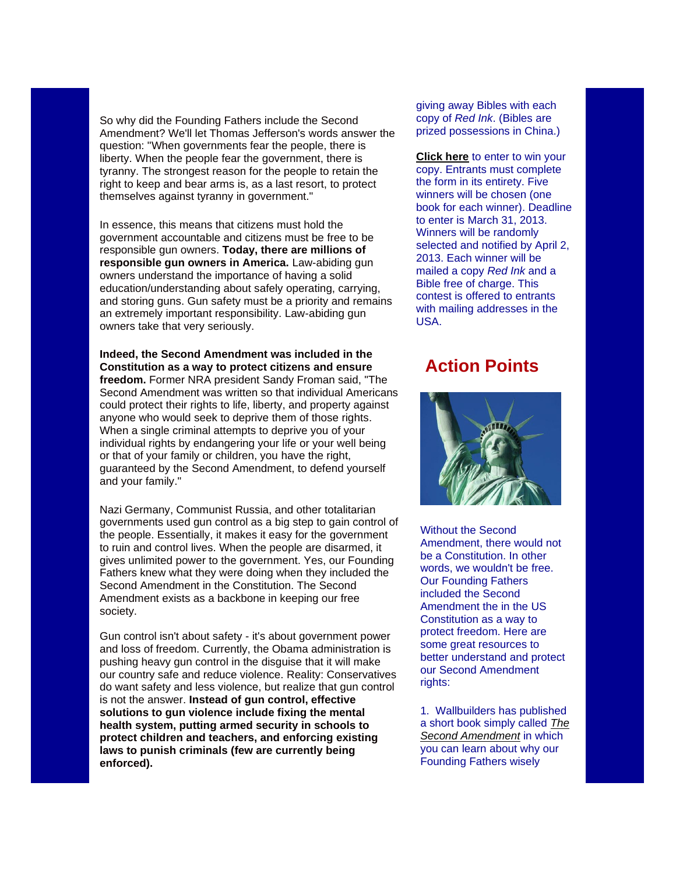So why did the Founding Fathers include the Second Amendment? We'll let Thomas Jefferson's words answer the question: "When governments fear the people, there is liberty. When the people fear the government, there is tyranny. The strongest reason for the people to retain the right to keep and bear arms is, as a last resort, to protect themselves against tyranny in government."

In essence, this means that citizens must hold the government accountable and citizens must be free to be responsible gun owners. **Today, there are millions of responsible gun owners in America.** Law-abiding gun owners understand the importance of having a solid education/understanding about safely operating, carrying, and storing guns. Gun safety must be a priority and remains an extremely important responsibility. Law-abiding gun owners take that very seriously.

**Indeed, the Second Amendment was included in the Constitution as a way to protect citizens and ensure freedom.** Former NRA president Sandy Froman said, "The Second Amendment was written so that individual Americans could protect their rights to life, liberty, and property against anyone who would seek to deprive them of those rights. When a single criminal attempts to deprive you of your individual rights by endangering your life or your well being or that of your family or children, you have the right, guaranteed by the Second Amendment, to defend yourself and your family."

Nazi Germany, Communist Russia, and other totalitarian governments used gun control as a big step to gain control of the people. Essentially, it makes it easy for the government to ruin and control lives. When the people are disarmed, it gives unlimited power to the government. Yes, our Founding Fathers knew what they were doing when they included the Second Amendment in the Constitution. The Second Amendment exists as a backbone in keeping our free society.

Gun control isn't about safety - it's about government power and loss of freedom. Currently, the Obama administration is pushing heavy gun control in the disguise that it will make our country safe and reduce violence. Reality: Conservatives do want safety and less violence, but realize that gun control is not the answer. **Instead of gun control, effective solutions to gun violence include fixing the mental health system, putting armed security in schools to protect children and teachers, and enforcing existing laws to punish criminals (few are currently being enforced).**

giving away Bibles with each copy of *Red Ink*. (Bibles are prized possessions in China.)

**[Click here](http://unitetheusa.org/id94.html)** to enter to win your copy. Entrants must complete the form in its entirety. Five winners will be chosen (one book for each winner). Deadline to enter is March 31, 2013. Winners will be randomly selected and notified by April 2, 2013. Each winner will be mailed a copy *Red Ink* and a Bible free of charge. This contest is offered to entrants with mailing addresses in the USA.

## **Action Points**



Without the Second Amendment, there would not be a Constitution. In other words, we wouldn't be free. Our Founding Fathers included the Second Amendment the in the US Constitution as a way to protect freedom. Here are some great resources to better understand and protect our Second Amendment rights:

1. Wallbuilders has published a short book simply called *[The](http://shop.wallbuilders.com/the-second-amendment-book)  [Second Amendment](http://shop.wallbuilders.com/the-second-amendment-book)* in which you can learn about why our Founding Fathers wisely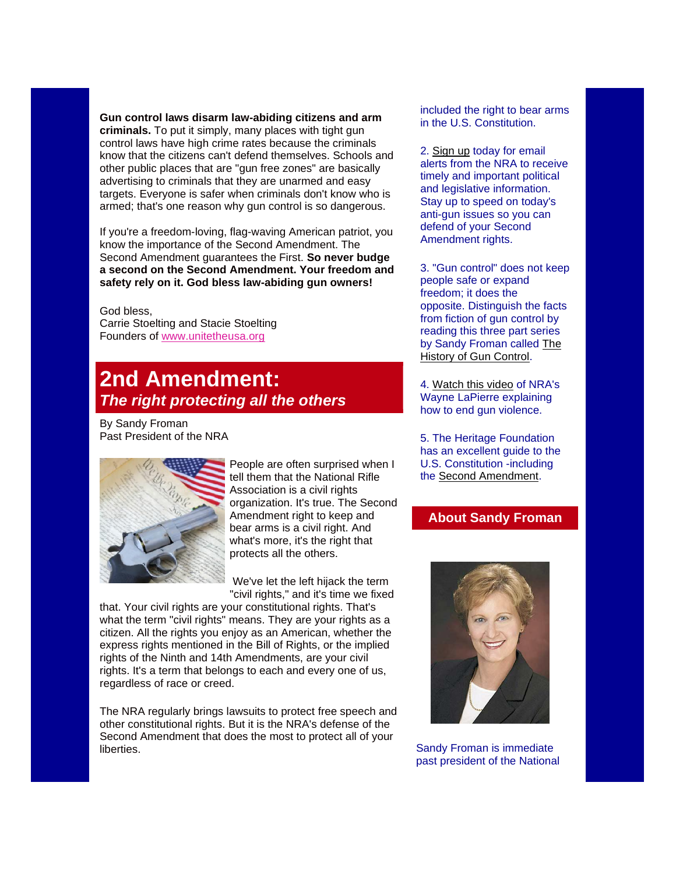**Gun control laws disarm law-abiding citizens and arm criminals.** To put it simply, many places with tight gun control laws have high crime rates because the criminals know that the citizens can't defend themselves. Schools and other public places that are "gun free zones" are basically advertising to criminals that they are unarmed and easy targets. Everyone is safer when criminals don't know who is armed; that's one reason why gun control is so dangerous.

If you're a freedom-loving, flag-waving American patriot, you know the importance of the Second Amendment. The Second Amendment guarantees the First. **So never budge a second on the Second Amendment. Your freedom and safety rely on it. God bless law-abiding gun owners!**

God bless, Carrie Stoelting and Stacie Stoelting Founders of [www.unitetheusa.org](http://unitetheusa.org/index.html)

# **2nd Amendment:** *The right protecting all the others*

By Sandy Froman Past President of the NRA



People are often surprised when I tell them that the National Rifle Association is a civil rights organization. It's true. The Second Amendment right to keep and bear arms is a civil right. And what's more, it's the right that protects all the others.

We've let the left hijack the term "civil rights," and it's time we fixed

that. Your civil rights are your constitutional rights. That's what the term "civil rights" means. They are your rights as a citizen. All the rights you enjoy as an American, whether the express rights mentioned in the Bill of Rights, or the implied rights of the Ninth and 14th Amendments, are your civil rights. It's a term that belongs to each and every one of us, regardless of race or creed.

The NRA regularly brings lawsuits to protect free speech and other constitutional rights. But it is the NRA's defense of the Second Amendment that does the most to protect all of your liberties.

included the right to bear arms in the U.S. Constitution.

2. [Sign up](https://www.nraila.org/get-involved-locally/secure/stay-informed.aspx) today for email alerts from the NRA to receive timely and important political and legislative information. Stay up to speed on today's anti-gun issues so you can defend of your Second Amendment rights.

3. "Gun control" does not keep people safe or expand freedom; it does the opposite. Distinguish the facts from fiction of gun control by reading this three part series by Sandy Froman called [The](http://www.wnd.com/2007/06/41950/)  [History of Gun Control.](http://www.wnd.com/2007/06/41950/)

4. [Watch this video](http://home.nra.org/iphone.aspx/video/8973) of NRA's Wayne LaPierre explaining how to end gun violence.

5. The Heritage Foundation has an excellent guide to the U.S. Constitution -including the [Second Amendment.](http://www.heritage.org/constitution/#!/amendments/2/essays/142/to-keep-and-bear-arms)

## **About Sandy Froman**



Sandy Froman is immediate past president of the National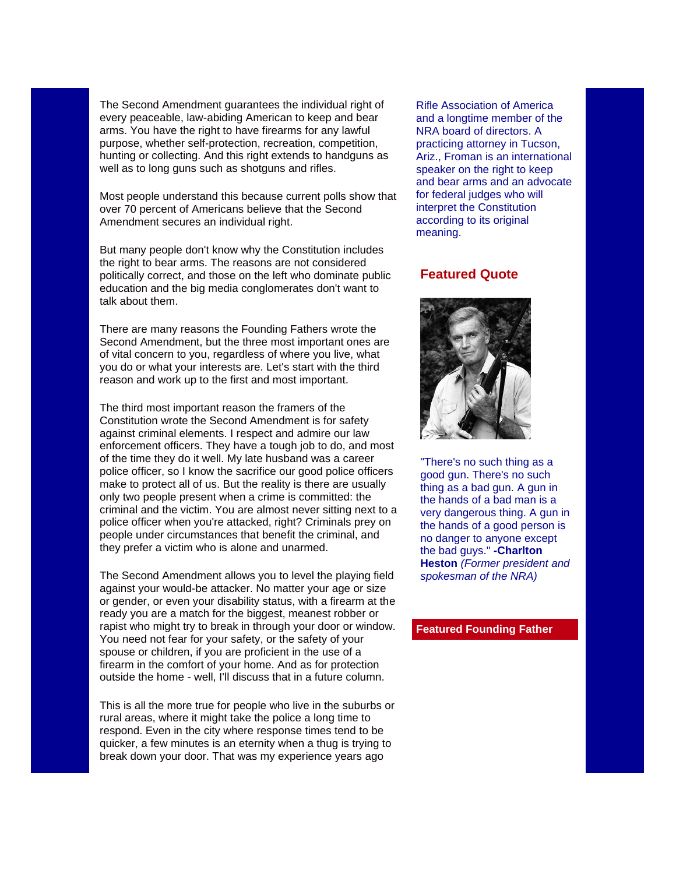The Second Amendment guarantees the individual right of every peaceable, law-abiding American to keep and bear arms. You have the right to have firearms for any lawful purpose, whether self-protection, recreation, competition, hunting or collecting. And this right extends to handguns as well as to long guns such as shotguns and rifles.

Most people understand this because current polls show that over 70 percent of Americans believe that the Second Amendment secures an individual right.

But many people don't know why the Constitution includes the right to bear arms. The reasons are not considered politically correct, and those on the left who dominate public education and the big media conglomerates don't want to talk about them.

There are many reasons the Founding Fathers wrote the Second Amendment, but the three most important ones are of vital concern to you, regardless of where you live, what you do or what your interests are. Let's start with the third reason and work up to the first and most important.

The third most important reason the framers of the Constitution wrote the Second Amendment is for safety against criminal elements. I respect and admire our law enforcement officers. They have a tough job to do, and most of the time they do it well. My late husband was a career police officer, so I know the sacrifice our good police officers make to protect all of us. But the reality is there are usually only two people present when a crime is committed: the criminal and the victim. You are almost never sitting next to a police officer when you're attacked, right? Criminals prey on people under circumstances that benefit the criminal, and they prefer a victim who is alone and unarmed.

The Second Amendment allows you to level the playing field against your would-be attacker. No matter your age or size or gender, or even your disability status, with a firearm at the ready you are a match for the biggest, meanest robber or rapist who might try to break in through your door or window. You need not fear for your safety, or the safety of your spouse or children, if you are proficient in the use of a firearm in the comfort of your home. And as for protection outside the home - well, I'll discuss that in a future column.

This is all the more true for people who live in the suburbs or rural areas, where it might take the police a long time to respond. Even in the city where response times tend to be quicker, a few minutes is an eternity when a thug is trying to break down your door. That was my experience years ago

Rifle Association of America and a longtime member of the NRA board of directors. A practicing attorney in Tucson, Ariz., Froman is an international speaker on the right to keep and bear arms and an advocate for federal judges who will interpret the Constitution according to its original meaning.

### **Featured Quote**



"There's no such thing as a good gun. There's no such thing as a bad gun. A gun in the hands of a bad man is a very dangerous thing. A gun in the hands of a good person is no danger to anyone except the bad guys." **-Charlton Heston** *(Former president and spokesman of the NRA)*

#### **Featured Founding Father**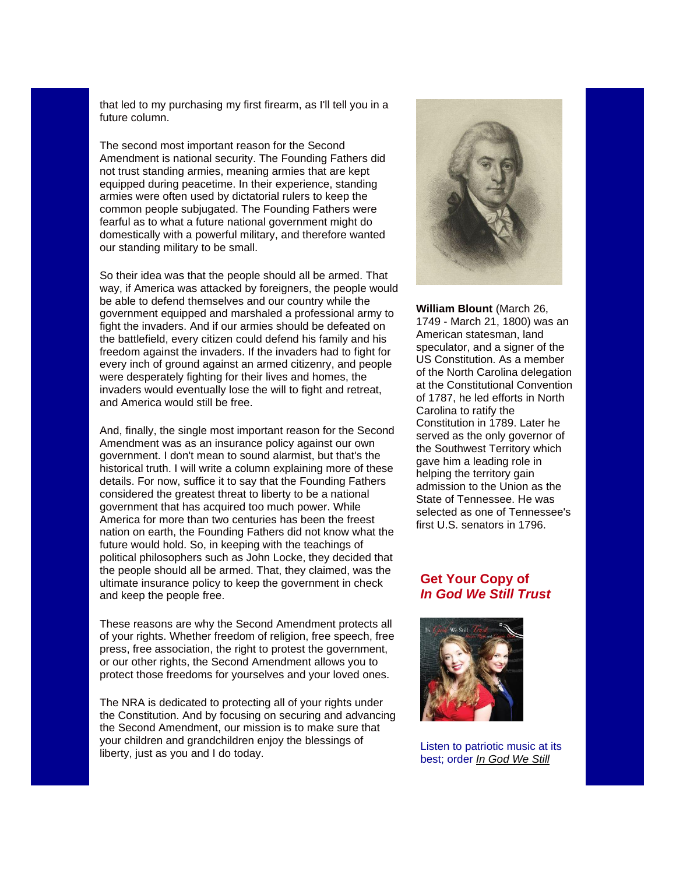that led to my purchasing my first firearm, as I'll tell you in a future column.

The second most important reason for the Second Amendment is national security. The Founding Fathers did not trust standing armies, meaning armies that are kept equipped during peacetime. In their experience, standing armies were often used by dictatorial rulers to keep the common people subjugated. The Founding Fathers were fearful as to what a future national government might do domestically with a powerful military, and therefore wanted our standing military to be small.

So their idea was that the people should all be armed. That way, if America was attacked by foreigners, the people would be able to defend themselves and our country while the government equipped and marshaled a professional army to fight the invaders. And if our armies should be defeated on the battlefield, every citizen could defend his family and his freedom against the invaders. If the invaders had to fight for every inch of ground against an armed citizenry, and people were desperately fighting for their lives and homes, the invaders would eventually lose the will to fight and retreat, and America would still be free.

And, finally, the single most important reason for the Second Amendment was as an insurance policy against our own government. I don't mean to sound alarmist, but that's the historical truth. I will write a column explaining more of these details. For now, suffice it to say that the Founding Fathers considered the greatest threat to liberty to be a national government that has acquired too much power. While America for more than two centuries has been the freest nation on earth, the Founding Fathers did not know what the future would hold. So, in keeping with the teachings of political philosophers such as John Locke, they decided that the people should all be armed. That, they claimed, was the ultimate insurance policy to keep the government in check and keep the people free.

These reasons are why the Second Amendment protects all of your rights. Whether freedom of religion, free speech, free press, free association, the right to protest the government, or our other rights, the Second Amendment allows you to protect those freedoms for yourselves and your loved ones.

The NRA is dedicated to protecting all of your rights under the Constitution. And by focusing on securing and advancing the Second Amendment, our mission is to make sure that your children and grandchildren enjoy the blessings of liberty, just as you and I do today.



**William Blount** (March 26, 1749 - March 21, 1800) was an American statesman, land speculator, and a signer of the US Constitution. As a member of the North Carolina delegation at the Constitutional Convention of 1787, he led efforts in North Carolina to ratify the Constitution in 1789. Later he served as the only governor of the Southwest Territory which gave him a leading role in helping the territory gain admission to the Union as the State of Tennessee. He was selected as one of Tennessee's first U.S. senators in 1796.

## **Get Your Copy of** *In God We Still Trust*



Listen to patriotic music at its best; order *[In God We Still](http://unitetheusa.org/id56.html)*